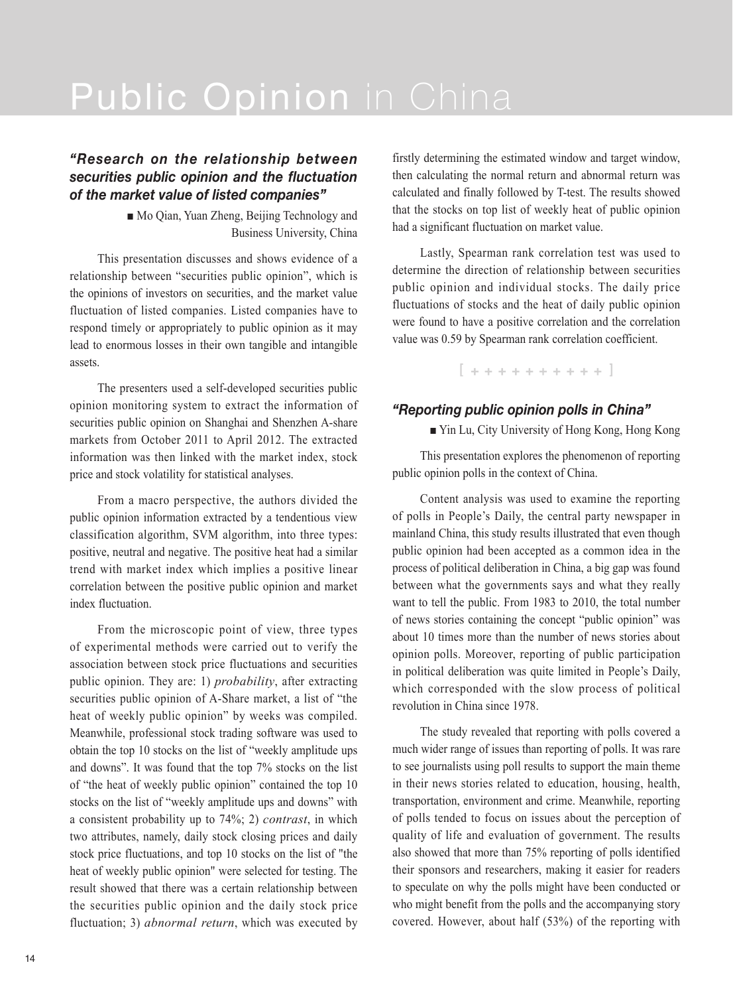## *"Research on the relationship between securities public opinion and the fluctuation of the market value of listed companies"*

■ Mo Qian, Yuan Zheng, Beijing Technology and Business University, China

This presentation discusses and shows evidence of a relationship between "securities public opinion", which is the opinions of investors on securities, and the market value fluctuation of listed companies. Listed companies have to respond timely or appropriately to public opinion as it may lead to enormous losses in their own tangible and intangible assets.

The presenters used a self-developed securities public opinion monitoring system to extract the information of securities public opinion on Shanghai and Shenzhen A-share markets from October 2011 to April 2012. The extracted information was then linked with the market index, stock price and stock volatility for statistical analyses.

From a macro perspective, the authors divided the public opinion information extracted by a tendentious view classification algorithm, SVM algorithm, into three types: positive, neutral and negative. The positive heat had a similar trend with market index which implies a positive linear correlation between the positive public opinion and market index fluctuation.

From the microscopic point of view, three types of experimental methods were carried out to verify the association between stock price fluctuations and securities public opinion. They are: 1) *probability*, after extracting securities public opinion of A-Share market, a list of "the heat of weekly public opinion" by weeks was compiled. Meanwhile, professional stock trading software was used to obtain the top 10 stocks on the list of "weekly amplitude ups and downs". It was found that the top 7% stocks on the list of "the heat of weekly public opinion" contained the top 10 stocks on the list of "weekly amplitude ups and downs" with a consistent probability up to 74%; 2) *contrast*, in which two attributes, namely, daily stock closing prices and daily stock price fluctuations, and top 10 stocks on the list of "the heat of weekly public opinion" were selected for testing. The result showed that there was a certain relationship between the securities public opinion and the daily stock price fluctuation; 3) *abnormal return*, which was executed by firstly determining the estimated window and target window, then calculating the normal return and abnormal return was calculated and finally followed by T-test. The results showed that the stocks on top list of weekly heat of public opinion had a significant fluctuation on market value.

Lastly, Spearman rank correlation test was used to determine the direction of relationship between securities public opinion and individual stocks. The daily price fluctuations of stocks and the heat of daily public opinion were found to have a positive correlation and the correlation value was 0.59 by Spearman rank correlation coefficient.

 $1 + + + + + + + + + + 1$ 

## *"Reporting public opinion polls in China"*

■ Yin Lu, City University of Hong Kong, Hong Kong

This presentation explores the phenomenon of reporting public opinion polls in the context of China.

Content analysis was used to examine the reporting of polls in People's Daily, the central party newspaper in mainland China, this study results illustrated that even though public opinion had been accepted as a common idea in the process of political deliberation in China, a big gap was found between what the governments says and what they really want to tell the public. From 1983 to 2010, the total number of news stories containing the concept "public opinion" was about 10 times more than the number of news stories about opinion polls. Moreover, reporting of public participation in political deliberation was quite limited in People's Daily, which corresponded with the slow process of political revolution in China since 1978.

The study revealed that reporting with polls covered a much wider range of issues than reporting of polls. It was rare to see journalists using poll results to support the main theme in their news stories related to education, housing, health, transportation, environment and crime. Meanwhile, reporting of polls tended to focus on issues about the perception of quality of life and evaluation of government. The results also showed that more than 75% reporting of polls identified their sponsors and researchers, making it easier for readers to speculate on why the polls might have been conducted or who might benefit from the polls and the accompanying story covered. However, about half (53%) of the reporting with